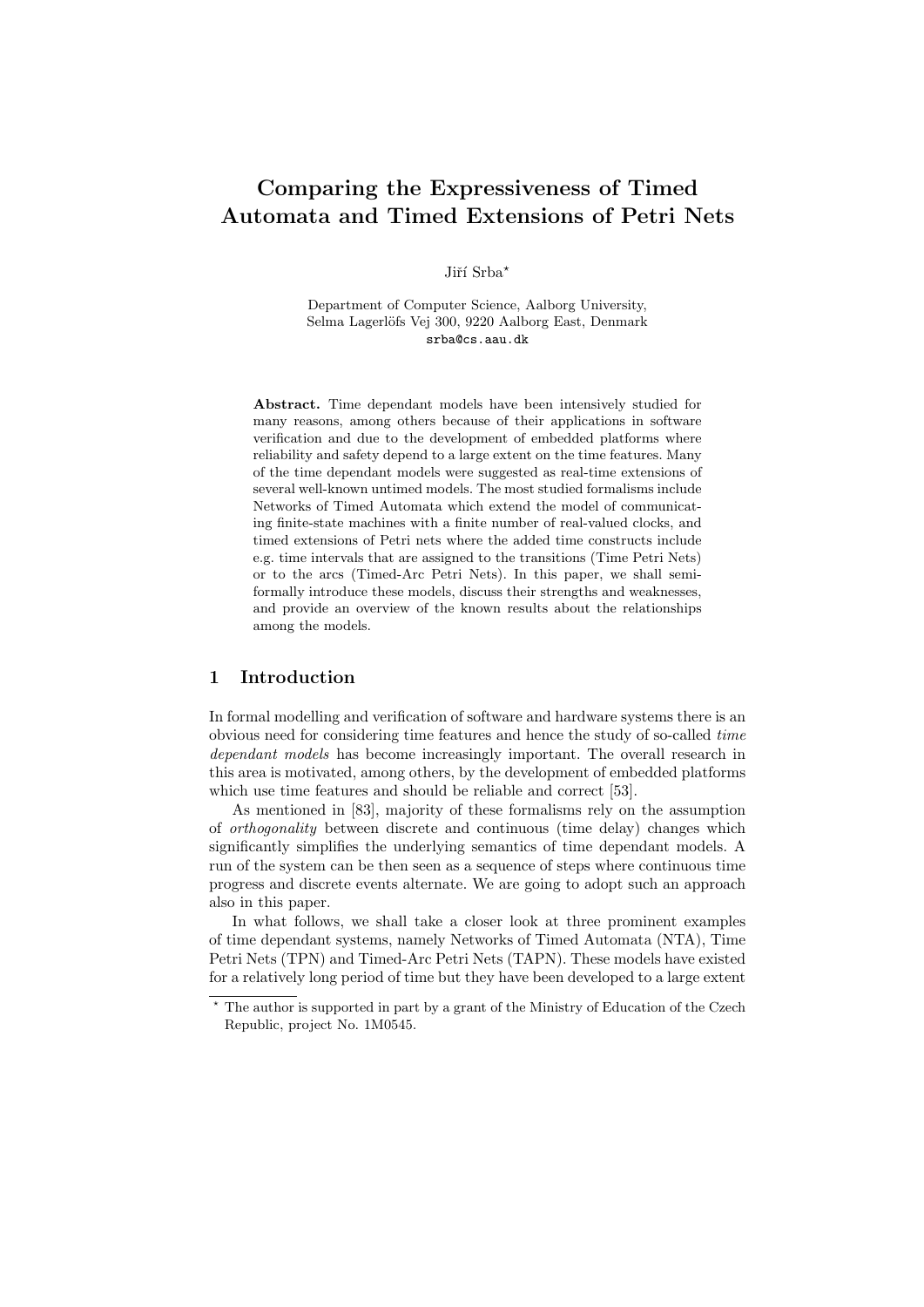# Comparing the Expressiveness of Timed Automata and Timed Extensions of Petri Nets

Jiří Srba\*

Department of Computer Science, Aalborg University, Selma Lagerlöfs Vej 300, 9220 Aalborg East, Denmark srba@cs.aau.dk

Abstract. Time dependant models have been intensively studied for many reasons, among others because of their applications in software verification and due to the development of embedded platforms where reliability and safety depend to a large extent on the time features. Many of the time dependant models were suggested as real-time extensions of several well-known untimed models. The most studied formalisms include Networks of Timed Automata which extend the model of communicating finite-state machines with a finite number of real-valued clocks, and timed extensions of Petri nets where the added time constructs include e.g. time intervals that are assigned to the transitions (Time Petri Nets) or to the arcs (Timed-Arc Petri Nets). In this paper, we shall semiformally introduce these models, discuss their strengths and weaknesses, and provide an overview of the known results about the relationships among the models.

# 1 Introduction

In formal modelling and verification of software and hardware systems there is an obvious need for considering time features and hence the study of so-called time dependant models has become increasingly important. The overall research in this area is motivated, among others, by the development of embedded platforms which use time features and should be reliable and correct [53].

As mentioned in [83], majority of these formalisms rely on the assumption of orthogonality between discrete and continuous (time delay) changes which significantly simplifies the underlying semantics of time dependant models. A run of the system can be then seen as a sequence of steps where continuous time progress and discrete events alternate. We are going to adopt such an approach also in this paper.

In what follows, we shall take a closer look at three prominent examples of time dependant systems, namely Networks of Timed Automata (NTA), Time Petri Nets (TPN) and Timed-Arc Petri Nets (TAPN). These models have existed for a relatively long period of time but they have been developed to a large extent

<sup>?</sup> The author is supported in part by a grant of the Ministry of Education of the Czech Republic, project No. 1M0545.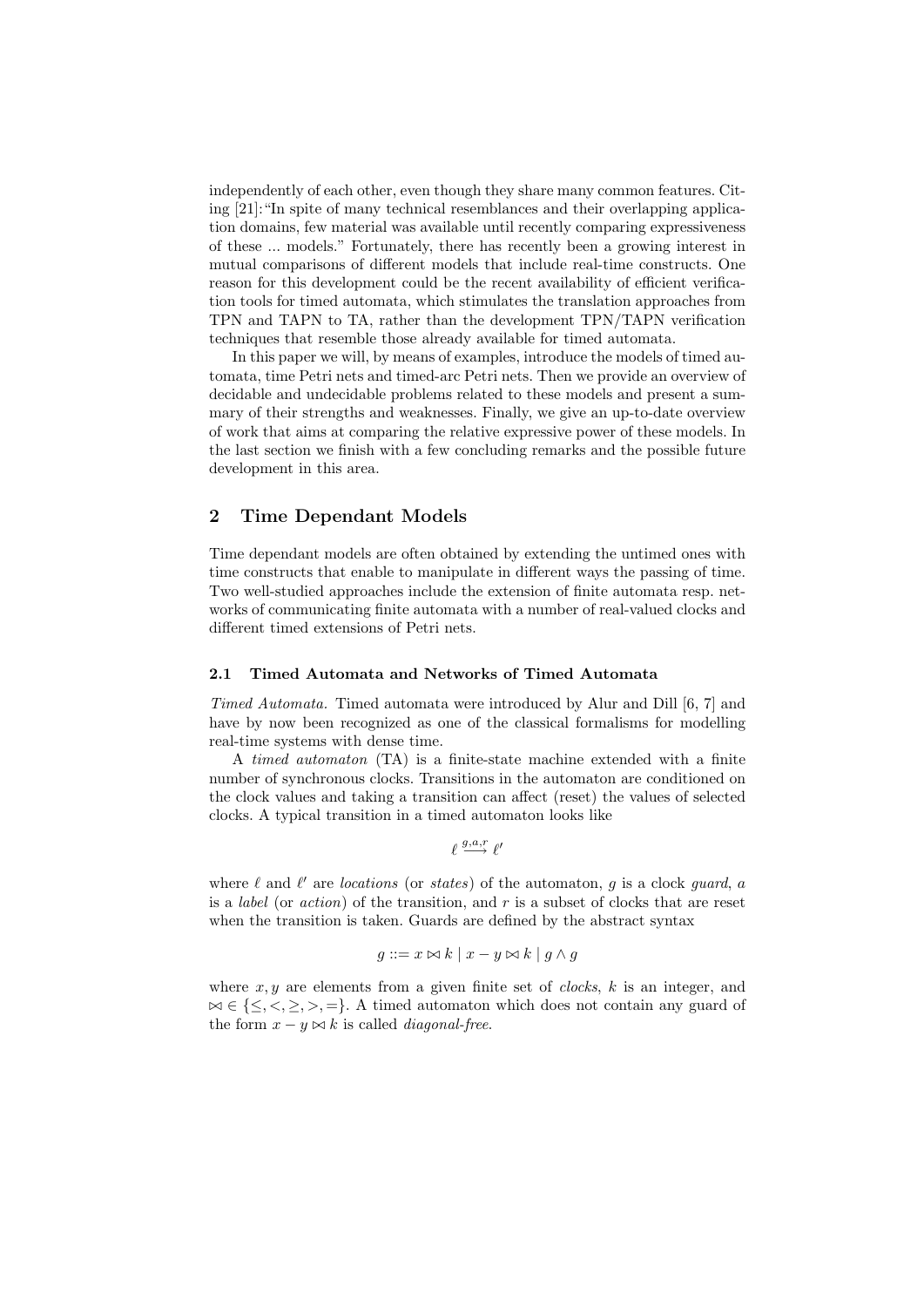independently of each other, even though they share many common features. Citing [21]:"In spite of many technical resemblances and their overlapping application domains, few material was available until recently comparing expressiveness of these ... models." Fortunately, there has recently been a growing interest in mutual comparisons of different models that include real-time constructs. One reason for this development could be the recent availability of efficient verification tools for timed automata, which stimulates the translation approaches from TPN and TAPN to TA, rather than the development TPN/TAPN verification techniques that resemble those already available for timed automata.

In this paper we will, by means of examples, introduce the models of timed automata, time Petri nets and timed-arc Petri nets. Then we provide an overview of decidable and undecidable problems related to these models and present a summary of their strengths and weaknesses. Finally, we give an up-to-date overview of work that aims at comparing the relative expressive power of these models. In the last section we finish with a few concluding remarks and the possible future development in this area.

# 2 Time Dependant Models

Time dependant models are often obtained by extending the untimed ones with time constructs that enable to manipulate in different ways the passing of time. Two well-studied approaches include the extension of finite automata resp. networks of communicating finite automata with a number of real-valued clocks and different timed extensions of Petri nets.

### 2.1 Timed Automata and Networks of Timed Automata

Timed Automata. Timed automata were introduced by Alur and Dill [6, 7] and have by now been recognized as one of the classical formalisms for modelling real-time systems with dense time.

A timed automaton (TA) is a finite-state machine extended with a finite number of synchronous clocks. Transitions in the automaton are conditioned on the clock values and taking a transition can affect (reset) the values of selected clocks. A typical transition in a timed automaton looks like

$$
\ell \stackrel{g,a,r}{\longrightarrow} \ell'
$$

where  $\ell$  and  $\ell'$  are locations (or states) of the automaton, g is a clock guard, a is a *label* (or *action*) of the transition, and r is a subset of clocks that are reset when the transition is taken. Guards are defined by the abstract syntax

$$
g ::= x \bowtie k \mid x - y \bowtie k \mid g \land g
$$

where  $x, y$  are elements from a given finite set of *clocks*,  $k$  is an integer, and  $\bowtie \in \{ \leq, \leq, \geq, \geq, \equiv \}.$  A timed automaton which does not contain any guard of the form  $x - y \bowtie k$  is called *diagonal-free.*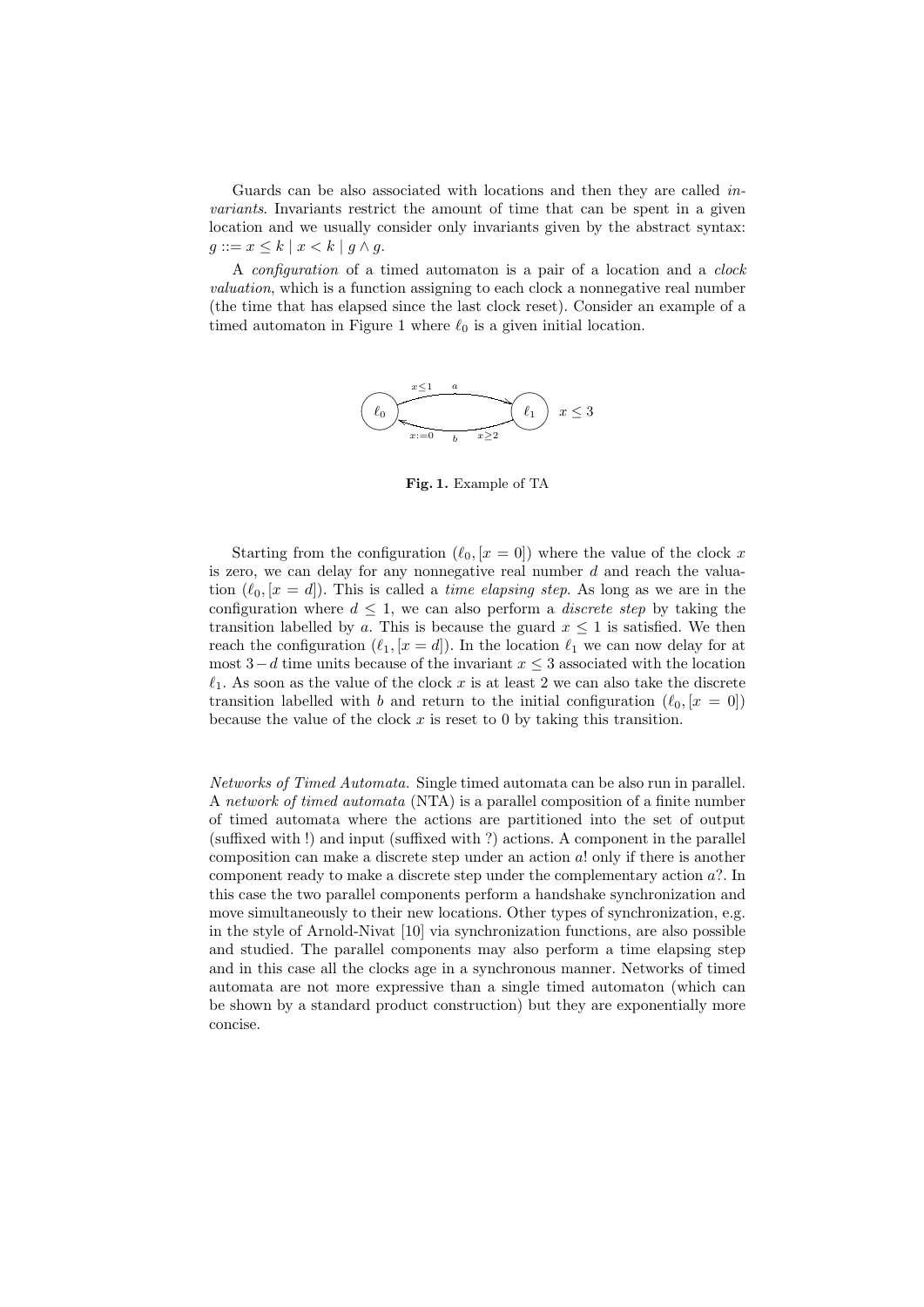Guards can be also associated with locations and then they are called invariants. Invariants restrict the amount of time that can be spent in a given location and we usually consider only invariants given by the abstract syntax:  $g ::= x \leq k \mid x < k \mid g \wedge g$ .

A configuration of a timed automaton is a pair of a location and a clock valuation, which is a function assigning to each clock a nonnegative real number (the time that has elapsed since the last clock reset). Consider an example of a timed automaton in Figure 1 where  $\ell_0$  is a given initial location.



Fig. 1. Example of TA

Starting from the configuration  $(\ell_0, [x = 0])$  where the value of the clock x is zero, we can delay for any nonnegative real number  $d$  and reach the valuation  $(\ell_0, [x = d])$ . This is called a *time elapsing step*. As long as we are in the configuration where  $d \leq 1$ , we can also perform a *discrete step* by taking the transition labelled by a. This is because the guard  $x \leq 1$  is satisfied. We then reach the configuration  $(\ell_1, [x = d])$ . In the location  $\ell_1$  we can now delay for at most  $3-d$  time units because of the invariant  $x \leq 3$  associated with the location  $\ell_1$ . As soon as the value of the clock x is at least 2 we can also take the discrete transition labelled with b and return to the initial configuration  $(\ell_0, [x = 0])$ because the value of the clock  $x$  is reset to 0 by taking this transition.

Networks of Timed Automata. Single timed automata can be also run in parallel. A network of timed automata (NTA) is a parallel composition of a finite number of timed automata where the actions are partitioned into the set of output (suffixed with !) and input (suffixed with ?) actions. A component in the parallel composition can make a discrete step under an action a! only if there is another component ready to make a discrete step under the complementary action a?. In this case the two parallel components perform a handshake synchronization and move simultaneously to their new locations. Other types of synchronization, e.g. in the style of Arnold-Nivat [10] via synchronization functions, are also possible and studied. The parallel components may also perform a time elapsing step and in this case all the clocks age in a synchronous manner. Networks of timed automata are not more expressive than a single timed automaton (which can be shown by a standard product construction) but they are exponentially more concise.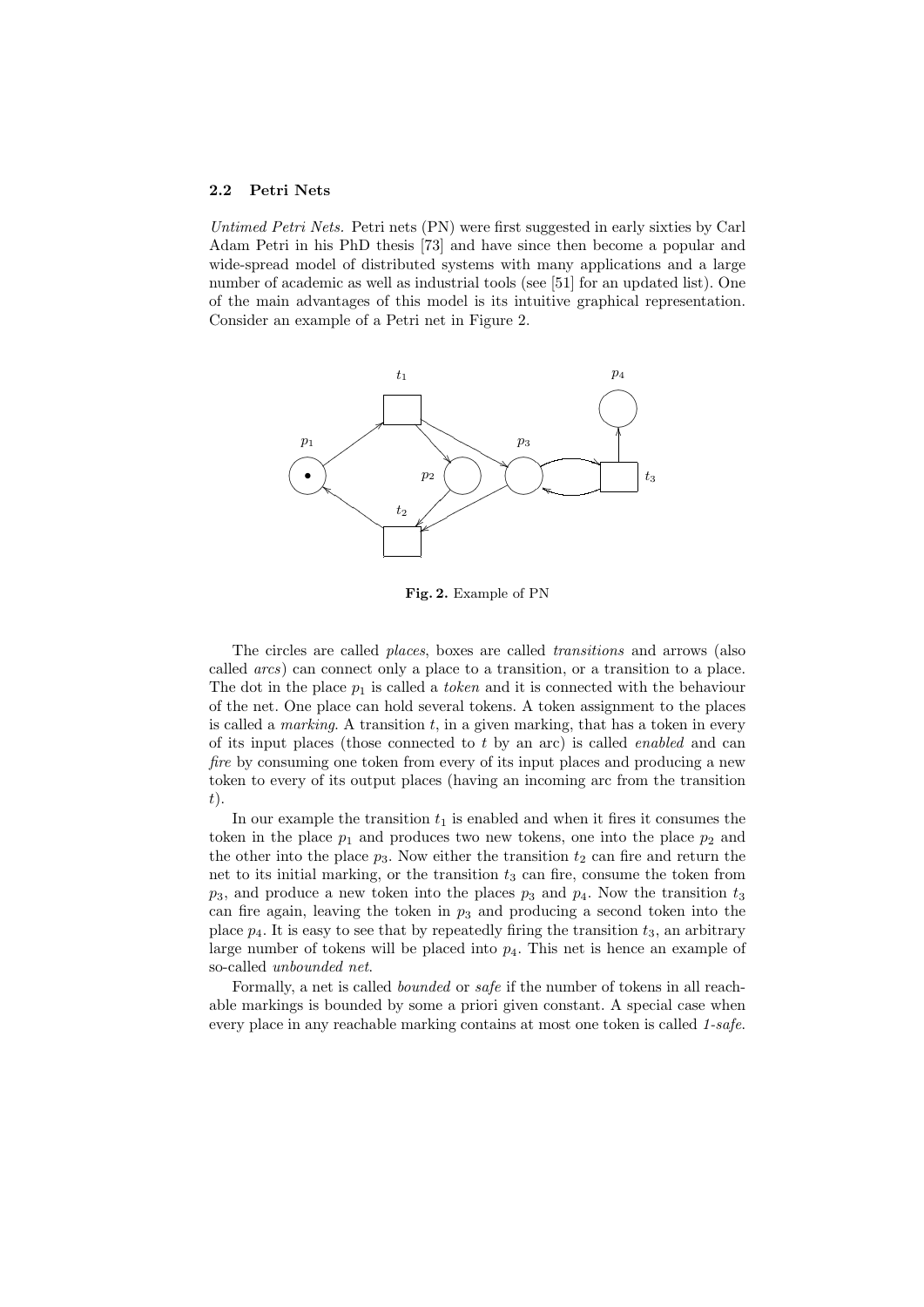#### 2.2 Petri Nets

Untimed Petri Nets. Petri nets (PN) were first suggested in early sixties by Carl Adam Petri in his PhD thesis [73] and have since then become a popular and wide-spread model of distributed systems with many applications and a large number of academic as well as industrial tools (see [51] for an updated list). One of the main advantages of this model is its intuitive graphical representation. Consider an example of a Petri net in Figure 2.



Fig. 2. Example of PN

The circles are called places, boxes are called transitions and arrows (also called arcs) can connect only a place to a transition, or a transition to a place. The dot in the place  $p_1$  is called a *token* and it is connected with the behaviour of the net. One place can hold several tokens. A token assignment to the places is called a *marking*. A transition  $t$ , in a given marking, that has a token in every of its input places (those connected to  $t$  by an arc) is called *enabled* and can fire by consuming one token from every of its input places and producing a new token to every of its output places (having an incoming arc from the transition t).

In our example the transition  $t_1$  is enabled and when it fires it consumes the token in the place  $p_1$  and produces two new tokens, one into the place  $p_2$  and the other into the place  $p_3$ . Now either the transition  $t_2$  can fire and return the net to its initial marking, or the transition  $t_3$  can fire, consume the token from  $p_3$ , and produce a new token into the places  $p_3$  and  $p_4$ . Now the transition  $t_3$ can fire again, leaving the token in  $p_3$  and producing a second token into the place  $p_4$ . It is easy to see that by repeatedly firing the transition  $t_3$ , an arbitrary large number of tokens will be placed into  $p_4$ . This net is hence an example of so-called unbounded net.

Formally, a net is called bounded or safe if the number of tokens in all reachable markings is bounded by some a priori given constant. A special case when every place in any reachable marking contains at most one token is called 1-safe.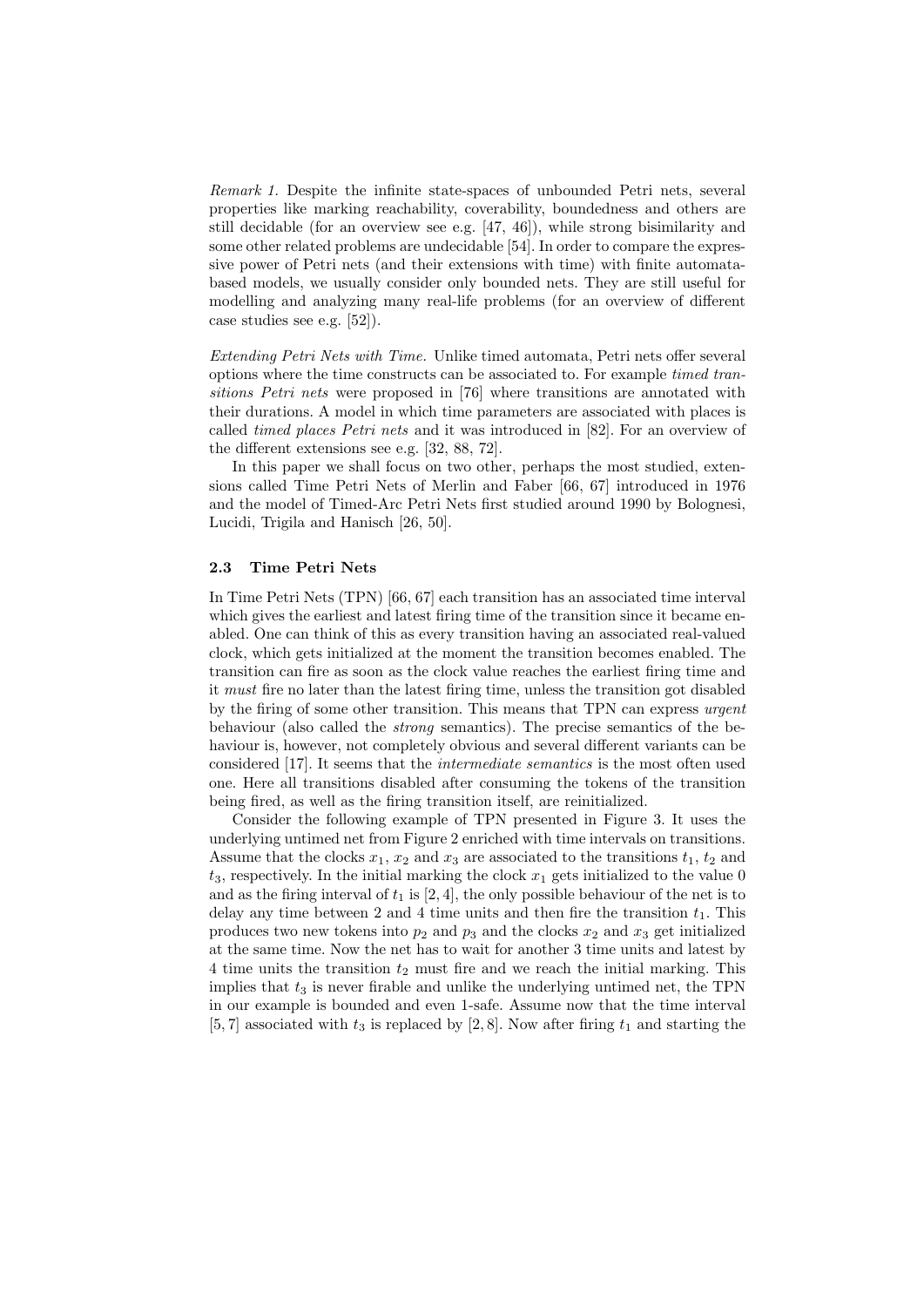Remark 1. Despite the infinite state-spaces of unbounded Petri nets, several properties like marking reachability, coverability, boundedness and others are still decidable (for an overview see e.g. [47, 46]), while strong bisimilarity and some other related problems are undecidable [54]. In order to compare the expressive power of Petri nets (and their extensions with time) with finite automatabased models, we usually consider only bounded nets. They are still useful for modelling and analyzing many real-life problems (for an overview of different case studies see e.g. [52]).

Extending Petri Nets with Time. Unlike timed automata, Petri nets offer several options where the time constructs can be associated to. For example timed transitions Petri nets were proposed in [76] where transitions are annotated with their durations. A model in which time parameters are associated with places is called timed places Petri nets and it was introduced in [82]. For an overview of the different extensions see e.g. [32, 88, 72].

In this paper we shall focus on two other, perhaps the most studied, extensions called Time Petri Nets of Merlin and Faber [66, 67] introduced in 1976 and the model of Timed-Arc Petri Nets first studied around 1990 by Bolognesi, Lucidi, Trigila and Hanisch [26, 50].

### 2.3 Time Petri Nets

In Time Petri Nets (TPN) [66, 67] each transition has an associated time interval which gives the earliest and latest firing time of the transition since it became enabled. One can think of this as every transition having an associated real-valued clock, which gets initialized at the moment the transition becomes enabled. The transition can fire as soon as the clock value reaches the earliest firing time and it must fire no later than the latest firing time, unless the transition got disabled by the firing of some other transition. This means that TPN can express urgent behaviour (also called the strong semantics). The precise semantics of the behaviour is, however, not completely obvious and several different variants can be considered [17]. It seems that the intermediate semantics is the most often used one. Here all transitions disabled after consuming the tokens of the transition being fired, as well as the firing transition itself, are reinitialized.

Consider the following example of TPN presented in Figure 3. It uses the underlying untimed net from Figure 2 enriched with time intervals on transitions. Assume that the clocks  $x_1, x_2$  and  $x_3$  are associated to the transitions  $t_1, t_2$  and  $t_3$ , respectively. In the initial marking the clock  $x_1$  gets initialized to the value 0 and as the firing interval of  $t_1$  is [2, 4], the only possible behaviour of the net is to delay any time between 2 and 4 time units and then fire the transition  $t_1$ . This produces two new tokens into  $p_2$  and  $p_3$  and the clocks  $x_2$  and  $x_3$  get initialized at the same time. Now the net has to wait for another 3 time units and latest by 4 time units the transition  $t_2$  must fire and we reach the initial marking. This implies that  $t_3$  is never firable and unlike the underlying untimed net, the TPN in our example is bounded and even 1-safe. Assume now that the time interval [5, 7] associated with  $t_3$  is replaced by [2, 8]. Now after firing  $t_1$  and starting the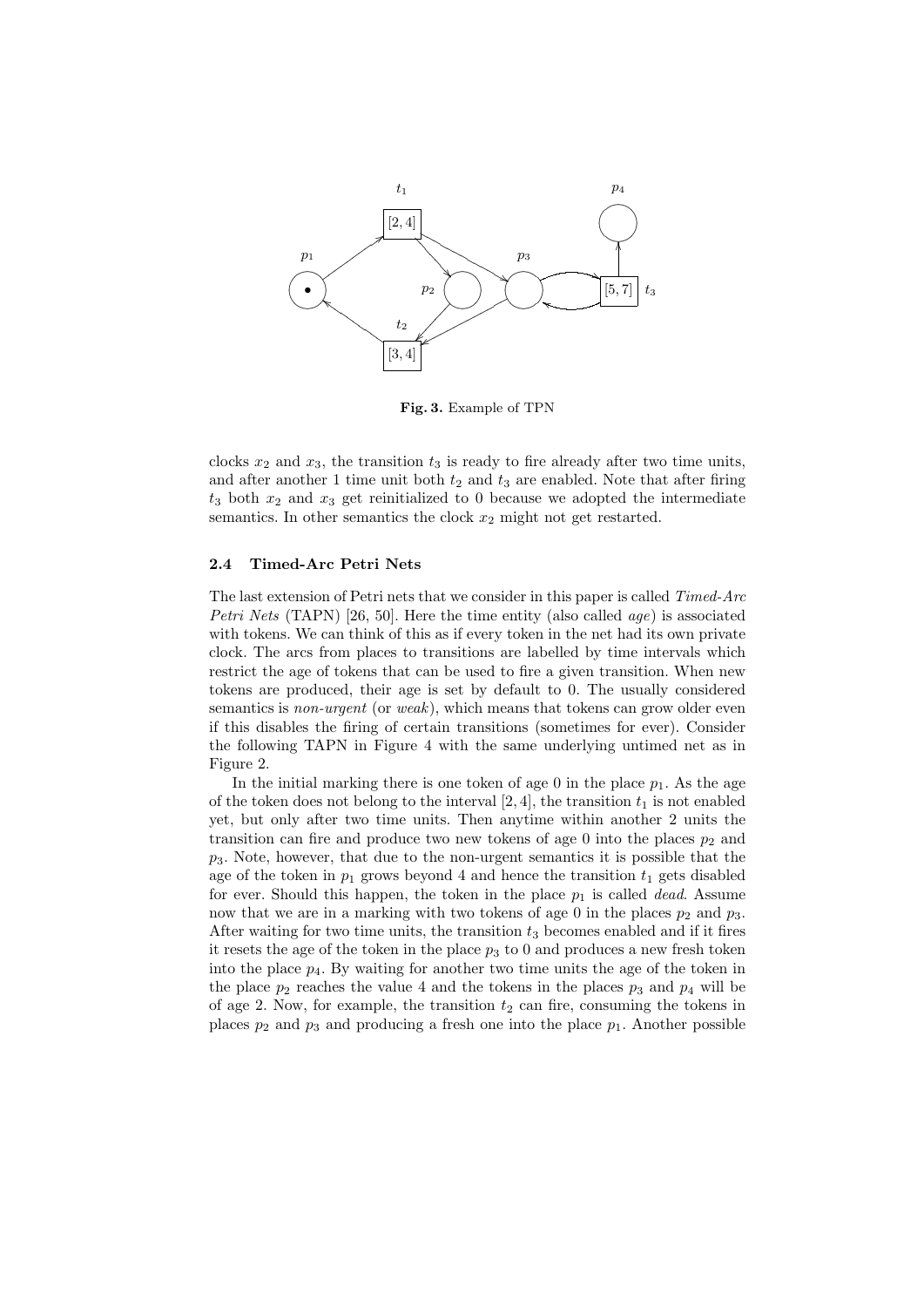

Fig. 3. Example of TPN

clocks  $x_2$  and  $x_3$ , the transition  $t_3$  is ready to fire already after two time units, and after another 1 time unit both  $t_2$  and  $t_3$  are enabled. Note that after firing  $t_3$  both  $x_2$  and  $x_3$  get reinitialized to 0 because we adopted the intermediate semantics. In other semantics the clock  $x_2$  might not get restarted.

#### 2.4 Timed-Arc Petri Nets

The last extension of Petri nets that we consider in this paper is called Timed-Arc *Petri Nets* (TAPN) [26, 50]. Here the time entity (also called  $age$ ) is associated with tokens. We can think of this as if every token in the net had its own private clock. The arcs from places to transitions are labelled by time intervals which restrict the age of tokens that can be used to fire a given transition. When new tokens are produced, their age is set by default to 0. The usually considered semantics is *non-urgent* (or *weak*), which means that tokens can grow older even if this disables the firing of certain transitions (sometimes for ever). Consider the following TAPN in Figure 4 with the same underlying untimed net as in Figure 2.

In the initial marking there is one token of age 0 in the place  $p_1$ . As the age of the token does not belong to the interval  $[2, 4]$ , the transition  $t_1$  is not enabled yet, but only after two time units. Then anytime within another 2 units the transition can fire and produce two new tokens of age 0 into the places  $p_2$  and  $p_3$ . Note, however, that due to the non-urgent semantics it is possible that the age of the token in  $p_1$  grows beyond 4 and hence the transition  $t_1$  gets disabled for ever. Should this happen, the token in the place  $p_1$  is called *dead*. Assume now that we are in a marking with two tokens of age 0 in the places  $p_2$  and  $p_3$ . After waiting for two time units, the transition  $t_3$  becomes enabled and if it fires it resets the age of the token in the place  $p_3$  to 0 and produces a new fresh token into the place  $p_4$ . By waiting for another two time units the age of the token in the place  $p_2$  reaches the value 4 and the tokens in the places  $p_3$  and  $p_4$  will be of age 2. Now, for example, the transition  $t_2$  can fire, consuming the tokens in places  $p_2$  and  $p_3$  and producing a fresh one into the place  $p_1$ . Another possible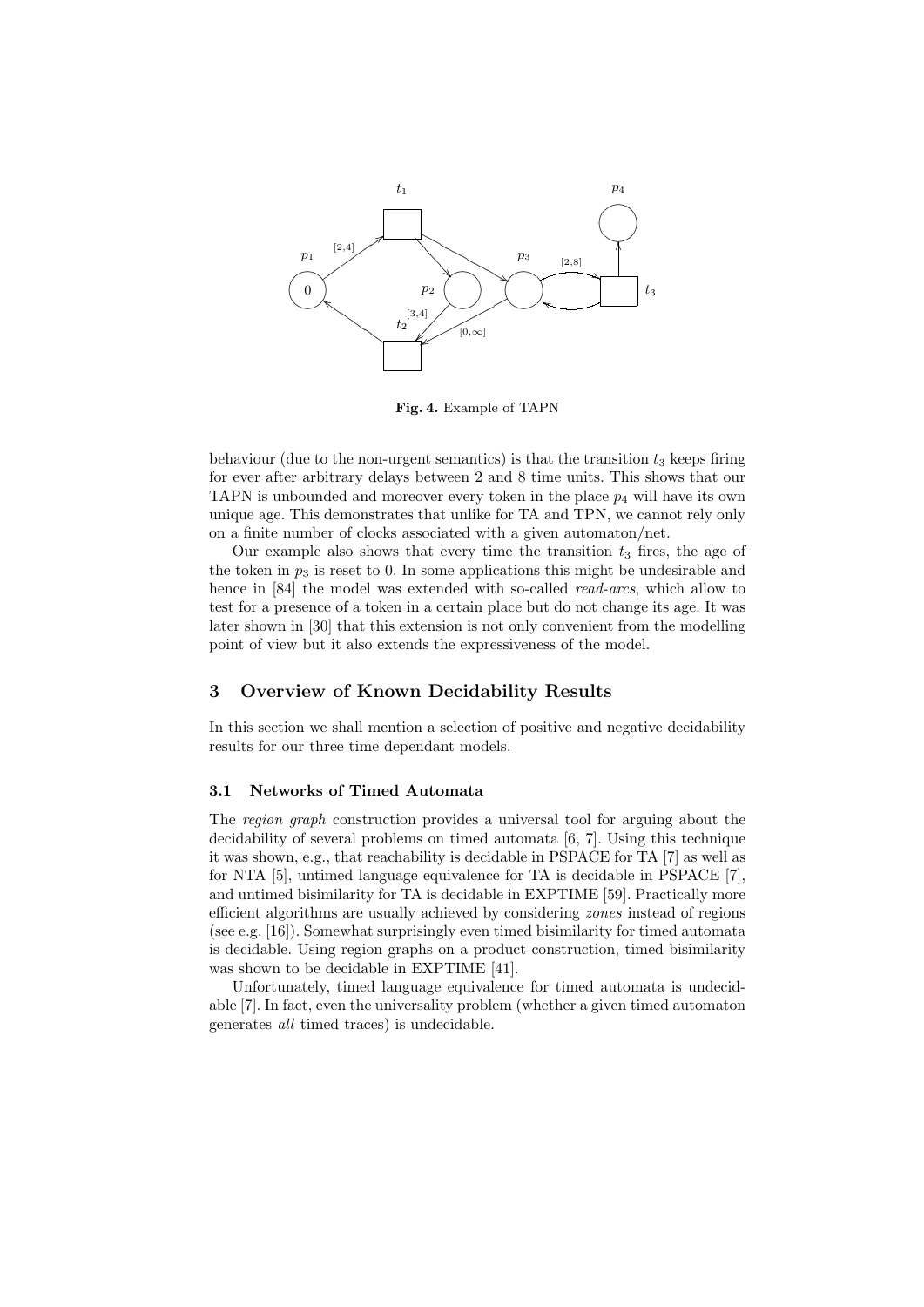

Fig. 4. Example of TAPN

behaviour (due to the non-urgent semantics) is that the transition  $t_3$  keeps firing for ever after arbitrary delays between 2 and 8 time units. This shows that our TAPN is unbounded and moreover every token in the place  $p_4$  will have its own unique age. This demonstrates that unlike for TA and TPN, we cannot rely only on a finite number of clocks associated with a given automaton/net.

Our example also shows that every time the transition  $t_3$  fires, the age of the token in  $p_3$  is reset to 0. In some applications this might be undesirable and hence in [84] the model was extended with so-called *read-arcs*, which allow to test for a presence of a token in a certain place but do not change its age. It was later shown in [30] that this extension is not only convenient from the modelling point of view but it also extends the expressiveness of the model.

# 3 Overview of Known Decidability Results

In this section we shall mention a selection of positive and negative decidability results for our three time dependant models.

### 3.1 Networks of Timed Automata

The region graph construction provides a universal tool for arguing about the decidability of several problems on timed automata [6, 7]. Using this technique it was shown, e.g., that reachability is decidable in PSPACE for TA [7] as well as for NTA [5], untimed language equivalence for TA is decidable in PSPACE [7], and untimed bisimilarity for TA is decidable in EXPTIME [59]. Practically more efficient algorithms are usually achieved by considering zones instead of regions (see e.g. [16]). Somewhat surprisingly even timed bisimilarity for timed automata is decidable. Using region graphs on a product construction, timed bisimilarity was shown to be decidable in EXPTIME [41].

Unfortunately, timed language equivalence for timed automata is undecidable [7]. In fact, even the universality problem (whether a given timed automaton generates all timed traces) is undecidable.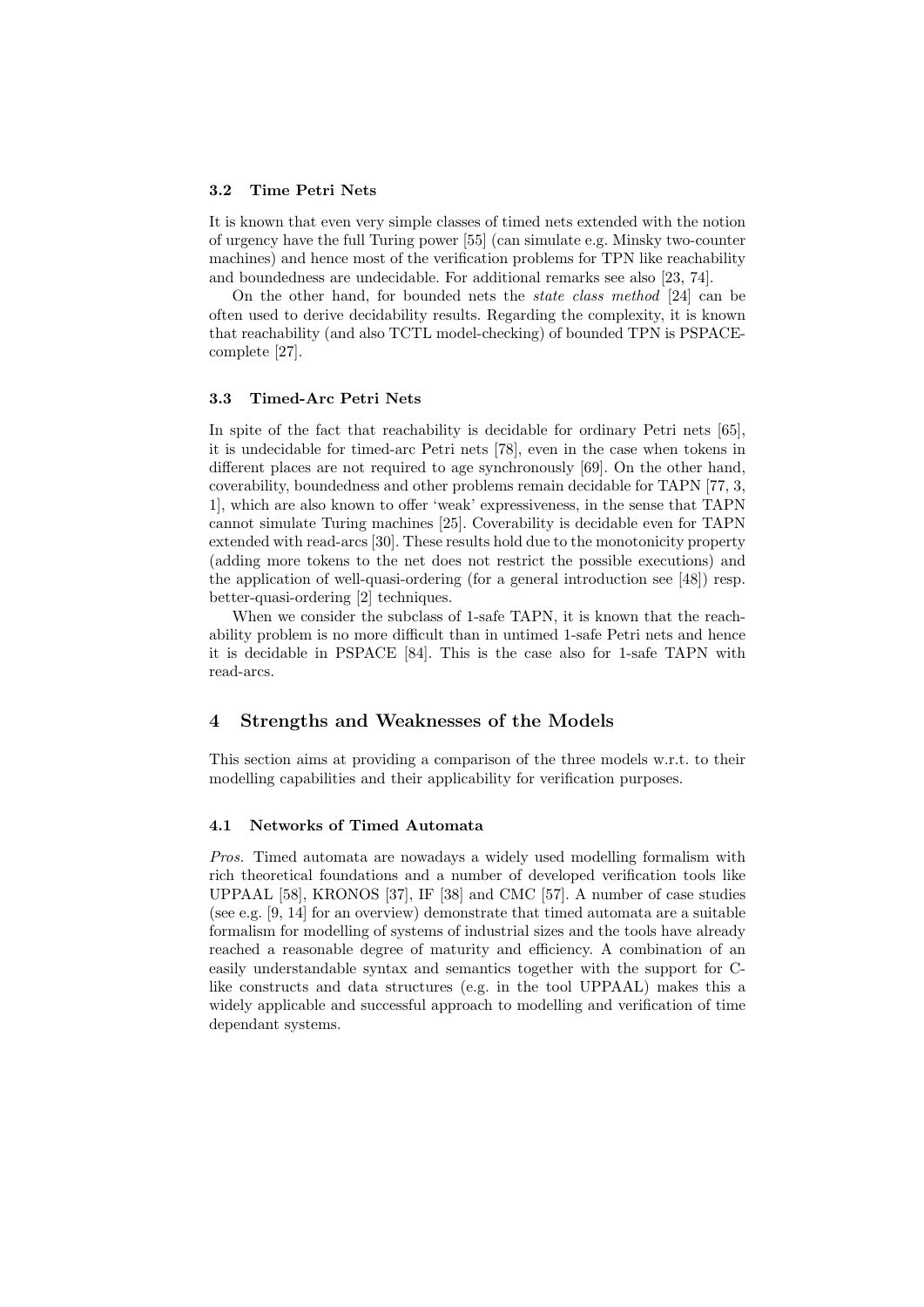#### 3.2 Time Petri Nets

It is known that even very simple classes of timed nets extended with the notion of urgency have the full Turing power [55] (can simulate e.g. Minsky two-counter machines) and hence most of the verification problems for TPN like reachability and boundedness are undecidable. For additional remarks see also [23, 74].

On the other hand, for bounded nets the state class method [24] can be often used to derive decidability results. Regarding the complexity, it is known that reachability (and also TCTL model-checking) of bounded TPN is PSPACEcomplete [27].

### 3.3 Timed-Arc Petri Nets

In spite of the fact that reachability is decidable for ordinary Petri nets [65], it is undecidable for timed-arc Petri nets [78], even in the case when tokens in different places are not required to age synchronously [69]. On the other hand, coverability, boundedness and other problems remain decidable for TAPN [77, 3, 1], which are also known to offer 'weak' expressiveness, in the sense that TAPN cannot simulate Turing machines [25]. Coverability is decidable even for TAPN extended with read-arcs [30]. These results hold due to the monotonicity property (adding more tokens to the net does not restrict the possible executions) and the application of well-quasi-ordering (for a general introduction see [48]) resp. better-quasi-ordering [2] techniques.

When we consider the subclass of 1-safe TAPN, it is known that the reachability problem is no more difficult than in untimed 1-safe Petri nets and hence it is decidable in PSPACE [84]. This is the case also for 1-safe TAPN with read-arcs.

### 4 Strengths and Weaknesses of the Models

This section aims at providing a comparison of the three models w.r.t. to their modelling capabilities and their applicability for verification purposes.

### 4.1 Networks of Timed Automata

Pros. Timed automata are nowadays a widely used modelling formalism with rich theoretical foundations and a number of developed verification tools like UPPAAL [58], KRONOS [37], IF [38] and CMC [57]. A number of case studies (see e.g. [9, 14] for an overview) demonstrate that timed automata are a suitable formalism for modelling of systems of industrial sizes and the tools have already reached a reasonable degree of maturity and efficiency. A combination of an easily understandable syntax and semantics together with the support for Clike constructs and data structures (e.g. in the tool UPPAAL) makes this a widely applicable and successful approach to modelling and verification of time dependant systems.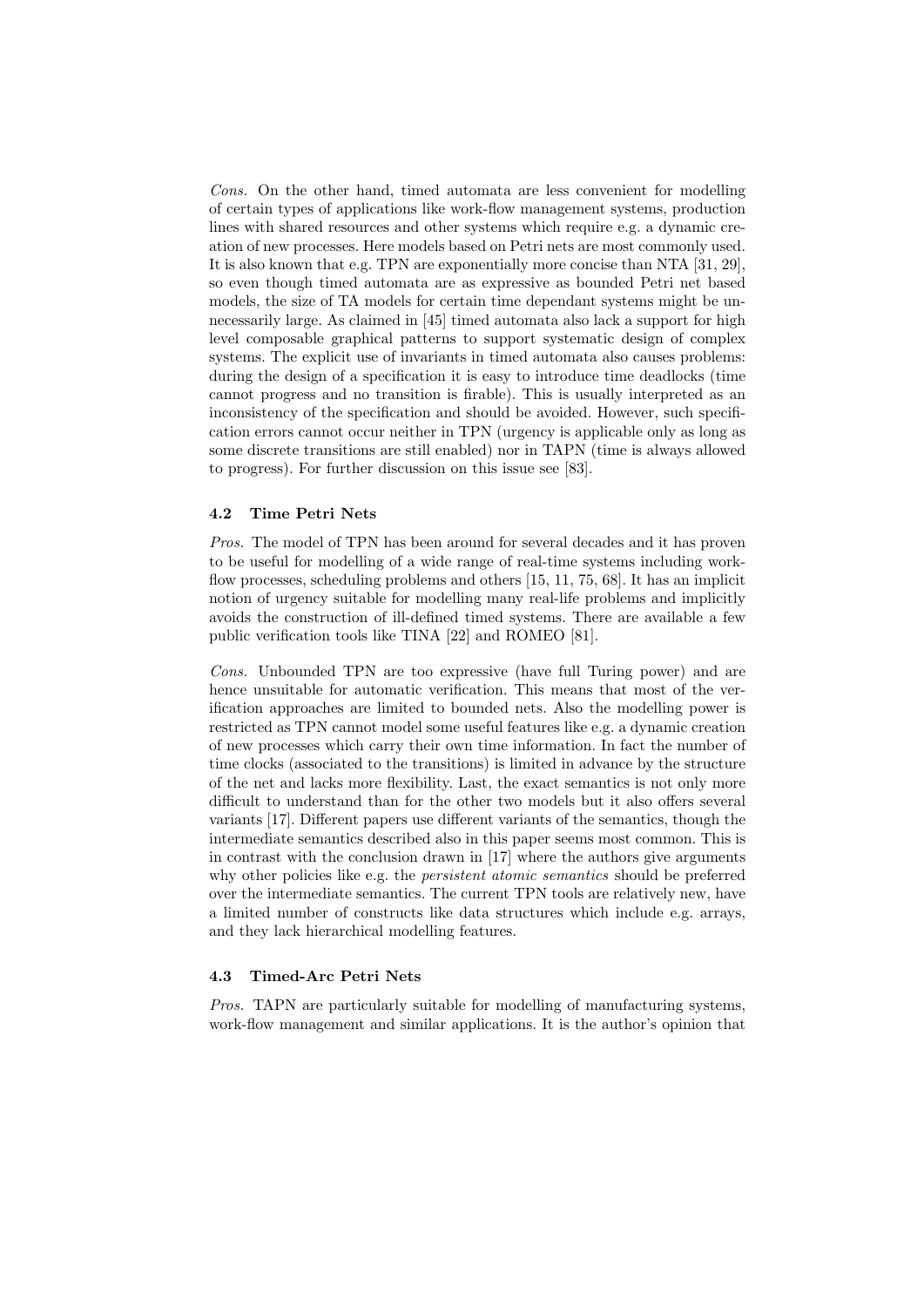Cons. On the other hand, timed automata are less convenient for modelling of certain types of applications like work-flow management systems, production lines with shared resources and other systems which require e.g. a dynamic creation of new processes. Here models based on Petri nets are most commonly used. It is also known that e.g. TPN are exponentially more concise than NTA [31, 29], so even though timed automata are as expressive as bounded Petri net based models, the size of TA models for certain time dependant systems might be unnecessarily large. As claimed in [45] timed automata also lack a support for high level composable graphical patterns to support systematic design of complex systems. The explicit use of invariants in timed automata also causes problems: during the design of a specification it is easy to introduce time deadlocks (time cannot progress and no transition is firable). This is usually interpreted as an inconsistency of the specification and should be avoided. However, such specification errors cannot occur neither in TPN (urgency is applicable only as long as some discrete transitions are still enabled) nor in TAPN (time is always allowed to progress). For further discussion on this issue see [83].

### 4.2 Time Petri Nets

Pros. The model of TPN has been around for several decades and it has proven to be useful for modelling of a wide range of real-time systems including workflow processes, scheduling problems and others [15, 11, 75, 68]. It has an implicit notion of urgency suitable for modelling many real-life problems and implicitly avoids the construction of ill-defined timed systems. There are available a few public verification tools like TINA [22] and ROMEO [81].

Cons. Unbounded TPN are too expressive (have full Turing power) and are hence unsuitable for automatic verification. This means that most of the verification approaches are limited to bounded nets. Also the modelling power is restricted as TPN cannot model some useful features like e.g. a dynamic creation of new processes which carry their own time information. In fact the number of time clocks (associated to the transitions) is limited in advance by the structure of the net and lacks more flexibility. Last, the exact semantics is not only more difficult to understand than for the other two models but it also offers several variants [17]. Different papers use different variants of the semantics, though the intermediate semantics described also in this paper seems most common. This is in contrast with the conclusion drawn in [17] where the authors give arguments why other policies like e.g. the *persistent atomic semantics* should be preferred over the intermediate semantics. The current TPN tools are relatively new, have a limited number of constructs like data structures which include e.g. arrays, and they lack hierarchical modelling features.

# 4.3 Timed-Arc Petri Nets

Pros. TAPN are particularly suitable for modelling of manufacturing systems, work-flow management and similar applications. It is the author's opinion that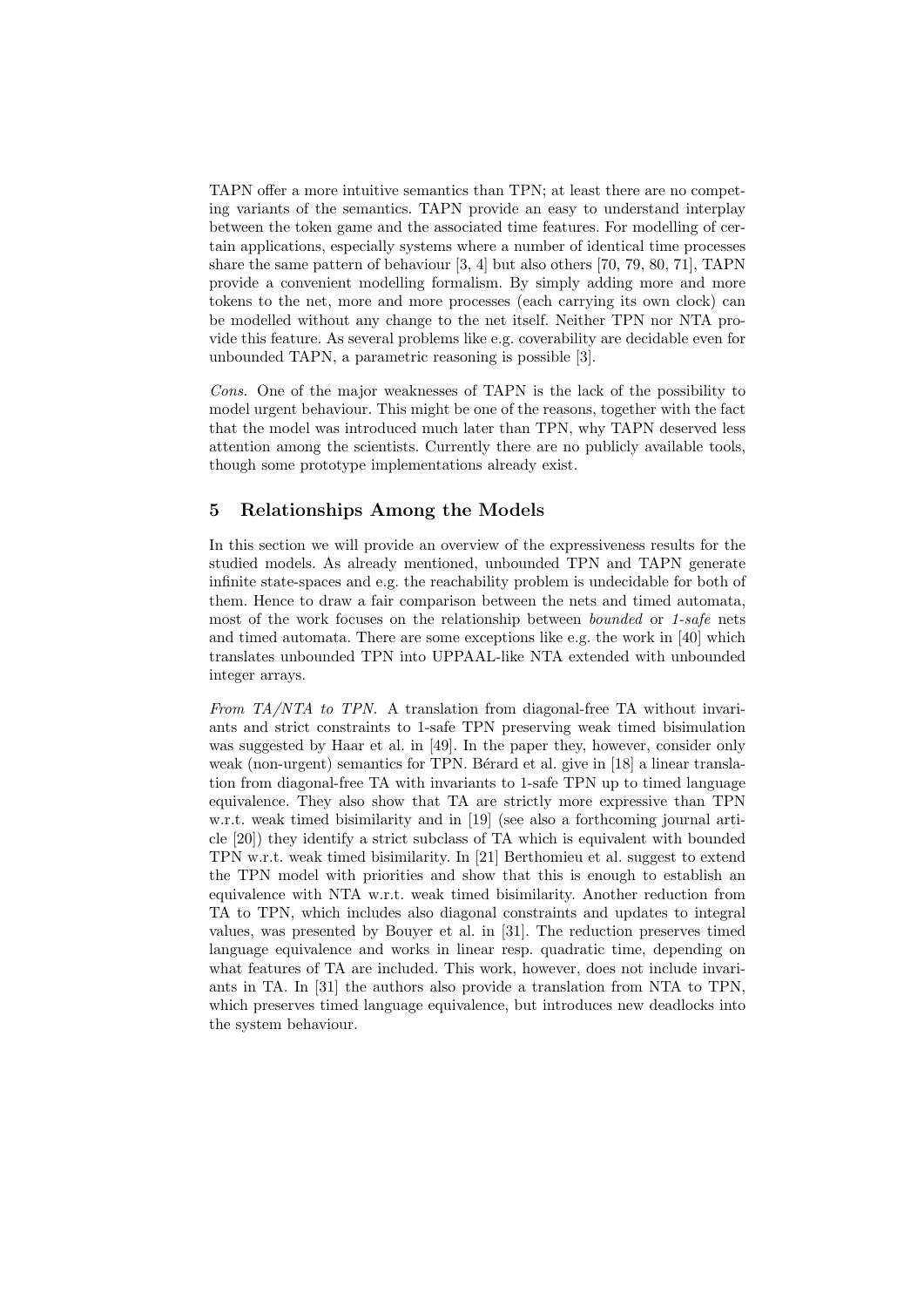TAPN offer a more intuitive semantics than TPN; at least there are no competing variants of the semantics. TAPN provide an easy to understand interplay between the token game and the associated time features. For modelling of certain applications, especially systems where a number of identical time processes share the same pattern of behaviour [3, 4] but also others [70, 79, 80, 71], TAPN provide a convenient modelling formalism. By simply adding more and more tokens to the net, more and more processes (each carrying its own clock) can be modelled without any change to the net itself. Neither TPN nor NTA provide this feature. As several problems like e.g. coverability are decidable even for unbounded TAPN, a parametric reasoning is possible [3].

Cons. One of the major weaknesses of TAPN is the lack of the possibility to model urgent behaviour. This might be one of the reasons, together with the fact that the model was introduced much later than TPN, why TAPN deserved less attention among the scientists. Currently there are no publicly available tools, though some prototype implementations already exist.

# 5 Relationships Among the Models

In this section we will provide an overview of the expressiveness results for the studied models. As already mentioned, unbounded TPN and TAPN generate infinite state-spaces and e.g. the reachability problem is undecidable for both of them. Hence to draw a fair comparison between the nets and timed automata, most of the work focuses on the relationship between bounded or 1-safe nets and timed automata. There are some exceptions like e.g. the work in [40] which translates unbounded TPN into UPPAAL-like NTA extended with unbounded integer arrays.

From TA/NTA to TPN. A translation from diagonal-free TA without invariants and strict constraints to 1-safe TPN preserving weak timed bisimulation was suggested by Haar et al. in [49]. In the paper they, however, consider only weak (non-urgent) semantics for TPN. Bérard et al. give in [18] a linear translation from diagonal-free TA with invariants to 1-safe TPN up to timed language equivalence. They also show that TA are strictly more expressive than TPN w.r.t. weak timed bisimilarity and in [19] (see also a forthcoming journal article [20]) they identify a strict subclass of TA which is equivalent with bounded TPN w.r.t. weak timed bisimilarity. In [21] Berthomieu et al. suggest to extend the TPN model with priorities and show that this is enough to establish an equivalence with NTA w.r.t. weak timed bisimilarity. Another reduction from TA to TPN, which includes also diagonal constraints and updates to integral values, was presented by Bouyer et al. in [31]. The reduction preserves timed language equivalence and works in linear resp. quadratic time, depending on what features of TA are included. This work, however, does not include invariants in TA. In [31] the authors also provide a translation from NTA to TPN, which preserves timed language equivalence, but introduces new deadlocks into the system behaviour.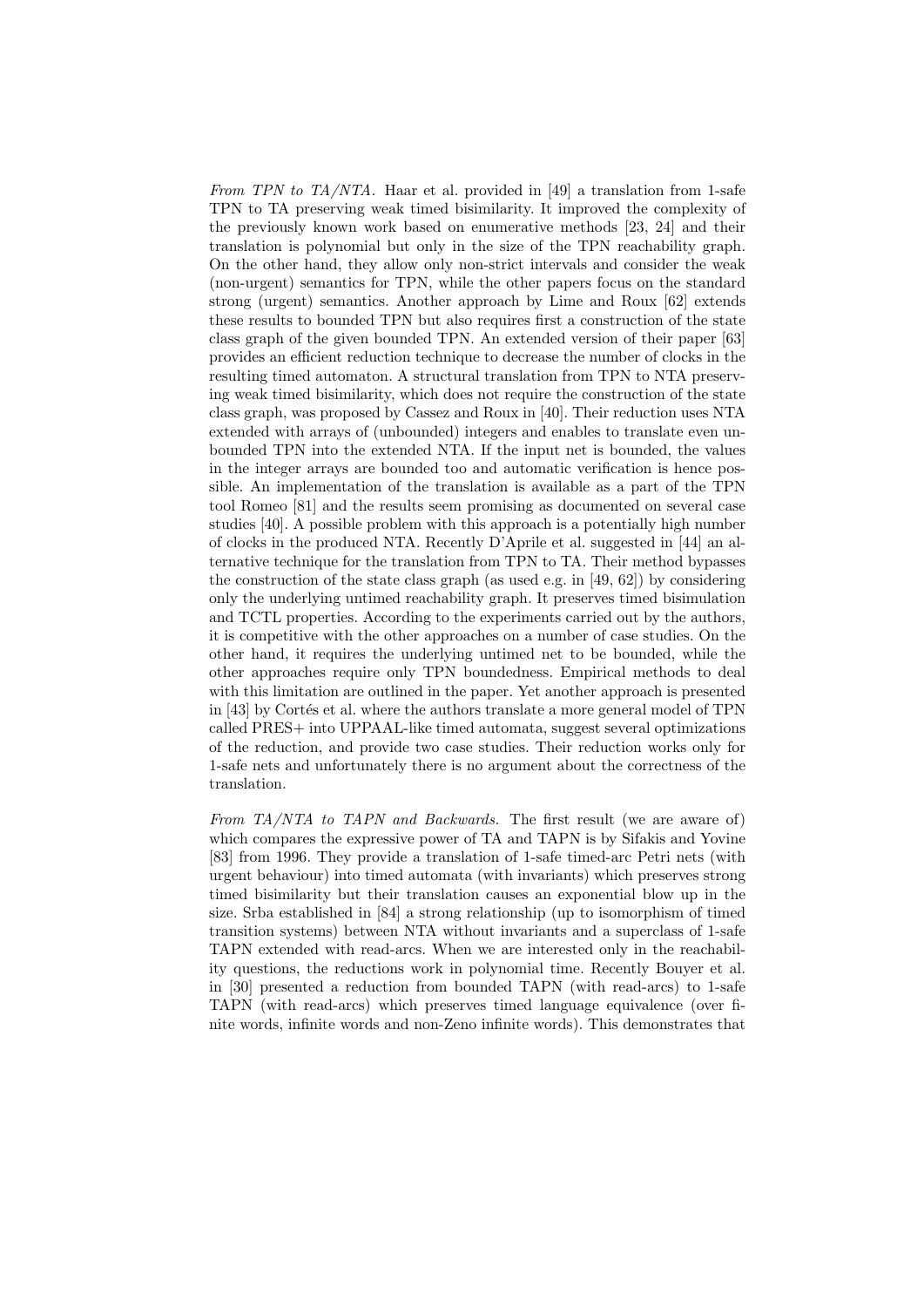From TPN to TA/NTA. Haar et al. provided in [49] a translation from 1-safe TPN to TA preserving weak timed bisimilarity. It improved the complexity of the previously known work based on enumerative methods [23, 24] and their translation is polynomial but only in the size of the TPN reachability graph. On the other hand, they allow only non-strict intervals and consider the weak (non-urgent) semantics for TPN, while the other papers focus on the standard strong (urgent) semantics. Another approach by Lime and Roux [62] extends these results to bounded TPN but also requires first a construction of the state class graph of the given bounded TPN. An extended version of their paper [63] provides an efficient reduction technique to decrease the number of clocks in the resulting timed automaton. A structural translation from TPN to NTA preserving weak timed bisimilarity, which does not require the construction of the state class graph, was proposed by Cassez and Roux in [40]. Their reduction uses NTA extended with arrays of (unbounded) integers and enables to translate even unbounded TPN into the extended NTA. If the input net is bounded, the values in the integer arrays are bounded too and automatic verification is hence possible. An implementation of the translation is available as a part of the TPN tool Romeo [81] and the results seem promising as documented on several case studies [40]. A possible problem with this approach is a potentially high number of clocks in the produced NTA. Recently D'Aprile et al. suggested in [44] an alternative technique for the translation from TPN to TA. Their method bypasses the construction of the state class graph (as used e.g. in [49, 62]) by considering only the underlying untimed reachability graph. It preserves timed bisimulation and TCTL properties. According to the experiments carried out by the authors, it is competitive with the other approaches on a number of case studies. On the other hand, it requires the underlying untimed net to be bounded, while the other approaches require only TPN boundedness. Empirical methods to deal with this limitation are outlined in the paper. Yet another approach is presented in [43] by Cortés et al. where the authors translate a more general model of TPN called PRES+ into UPPAAL-like timed automata, suggest several optimizations of the reduction, and provide two case studies. Their reduction works only for 1-safe nets and unfortunately there is no argument about the correctness of the translation.

From TA/NTA to TAPN and Backwards. The first result (we are aware of) which compares the expressive power of TA and TAPN is by Sifakis and Yovine [83] from 1996. They provide a translation of 1-safe timed-arc Petri nets (with urgent behaviour) into timed automata (with invariants) which preserves strong timed bisimilarity but their translation causes an exponential blow up in the size. Srba established in [84] a strong relationship (up to isomorphism of timed transition systems) between NTA without invariants and a superclass of 1-safe TAPN extended with read-arcs. When we are interested only in the reachability questions, the reductions work in polynomial time. Recently Bouyer et al. in [30] presented a reduction from bounded TAPN (with read-arcs) to 1-safe TAPN (with read-arcs) which preserves timed language equivalence (over finite words, infinite words and non-Zeno infinite words). This demonstrates that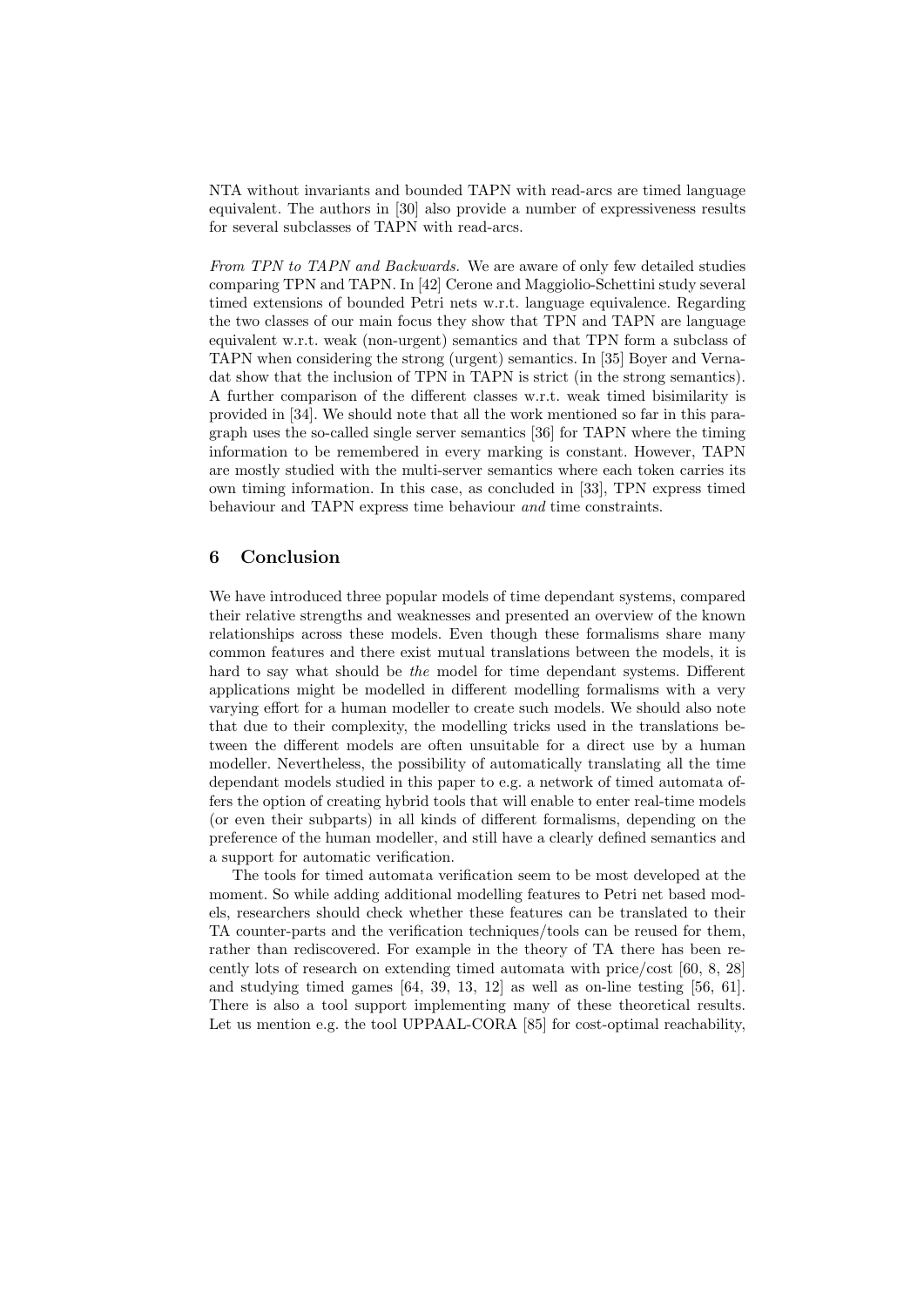NTA without invariants and bounded TAPN with read-arcs are timed language equivalent. The authors in [30] also provide a number of expressiveness results for several subclasses of TAPN with read-arcs.

From TPN to TAPN and Backwards. We are aware of only few detailed studies comparing TPN and TAPN. In [42] Cerone and Maggiolio-Schettini study several timed extensions of bounded Petri nets w.r.t. language equivalence. Regarding the two classes of our main focus they show that TPN and TAPN are language equivalent w.r.t. weak (non-urgent) semantics and that TPN form a subclass of TAPN when considering the strong (urgent) semantics. In [35] Boyer and Vernadat show that the inclusion of TPN in TAPN is strict (in the strong semantics). A further comparison of the different classes w.r.t. weak timed bisimilarity is provided in [34]. We should note that all the work mentioned so far in this paragraph uses the so-called single server semantics [36] for TAPN where the timing information to be remembered in every marking is constant. However, TAPN are mostly studied with the multi-server semantics where each token carries its own timing information. In this case, as concluded in [33], TPN express timed behaviour and TAPN express time behaviour and time constraints.

# 6 Conclusion

We have introduced three popular models of time dependant systems, compared their relative strengths and weaknesses and presented an overview of the known relationships across these models. Even though these formalisms share many common features and there exist mutual translations between the models, it is hard to say what should be the model for time dependant systems. Different applications might be modelled in different modelling formalisms with a very varying effort for a human modeller to create such models. We should also note that due to their complexity, the modelling tricks used in the translations between the different models are often unsuitable for a direct use by a human modeller. Nevertheless, the possibility of automatically translating all the time dependant models studied in this paper to e.g. a network of timed automata offers the option of creating hybrid tools that will enable to enter real-time models (or even their subparts) in all kinds of different formalisms, depending on the preference of the human modeller, and still have a clearly defined semantics and a support for automatic verification.

The tools for timed automata verification seem to be most developed at the moment. So while adding additional modelling features to Petri net based models, researchers should check whether these features can be translated to their TA counter-parts and the verification techniques/tools can be reused for them, rather than rediscovered. For example in the theory of TA there has been recently lots of research on extending timed automata with price/cost [60, 8, 28] and studying timed games [64, 39, 13, 12] as well as on-line testing [56, 61]. There is also a tool support implementing many of these theoretical results. Let us mention e.g. the tool UPPAAL-CORA [85] for cost-optimal reachability,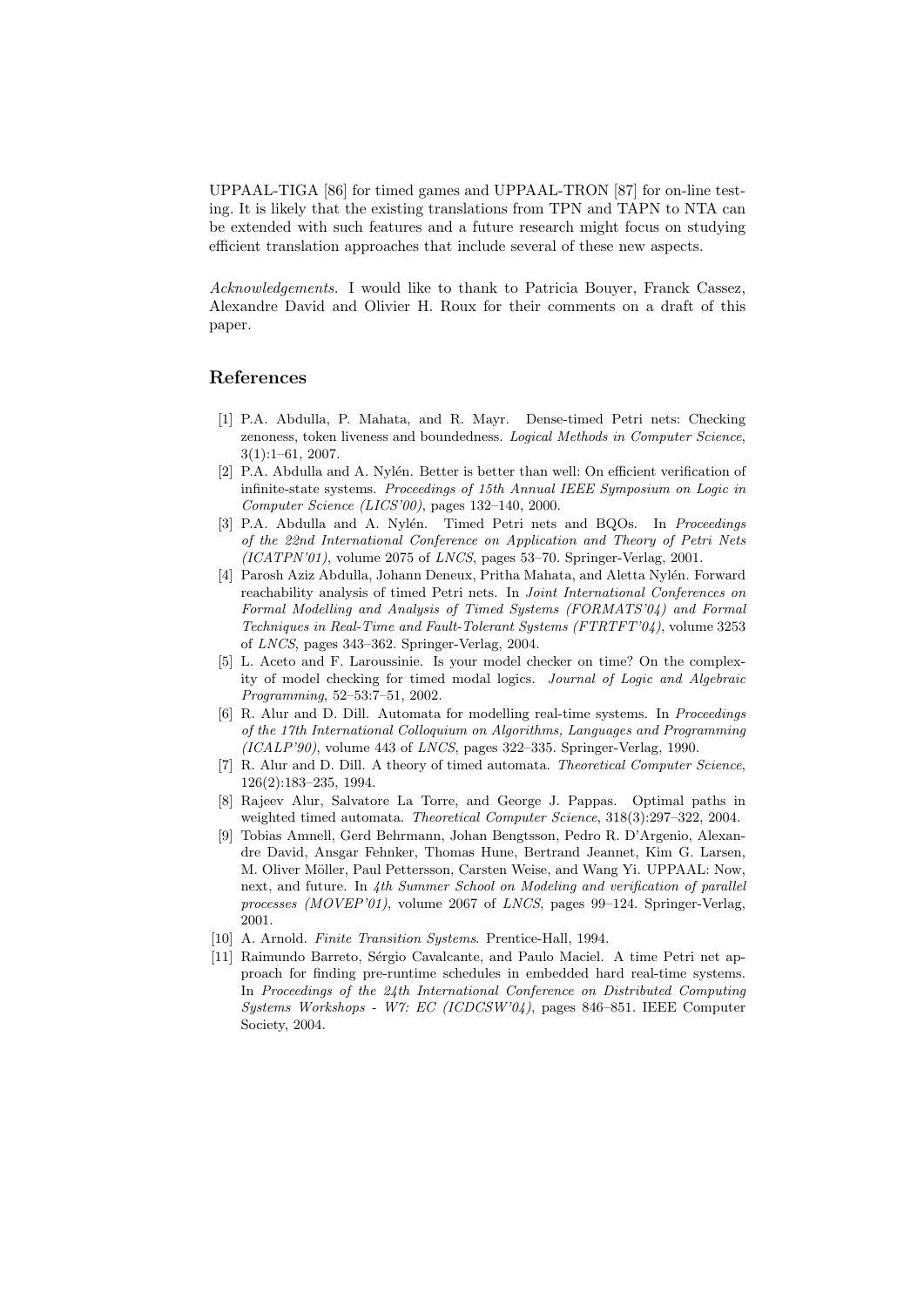UPPAAL-TIGA [86] for timed games and UPPAAL-TRON [87] for on-line testing. It is likely that the existing translations from TPN and TAPN to NTA can be extended with such features and a future research might focus on studying efficient translation approaches that include several of these new aspects.

Acknowledgements. I would like to thank to Patricia Bouyer, Franck Cassez, Alexandre David and Olivier H. Roux for their comments on a draft of this paper.

# References

- [1] P.A. Abdulla, P. Mahata, and R. Mayr. Dense-timed Petri nets: Checking zenoness, token liveness and boundedness. Logical Methods in Computer Science, 3(1):1–61, 2007.
- [2] P.A. Abdulla and A. Nylén. Better is better than well: On efficient verification of infinite-state systems. Proceedings of 15th Annual IEEE Symposium on Logic in Computer Science (LICS'00), pages 132–140, 2000.
- [3] P.A. Abdulla and A. Nylén. Timed Petri nets and BQOs. In Proceedings of the 22nd International Conference on Application and Theory of Petri Nets  $(ICATPN'01)$ , volume 2075 of  $LNCS$ , pages 53-70. Springer-Verlag, 2001.
- [4] Parosh Aziz Abdulla, Johann Deneux, Pritha Mahata, and Aletta Nylén. Forward reachability analysis of timed Petri nets. In *Joint International Conferences on* Formal Modelling and Analysis of Timed Systems (FORMATS'04) and Formal Techniques in Real-Time and Fault-Tolerant Systems (FTRTFT'04), volume 3253 of LNCS, pages 343–362. Springer-Verlag, 2004.
- [5] L. Aceto and F. Laroussinie. Is your model checker on time? On the complexity of model checking for timed modal logics. Journal of Logic and Algebraic Programming, 52–53:7–51, 2002.
- [6] R. Alur and D. Dill. Automata for modelling real-time systems. In Proceedings of the 17th International Colloquium on Algorithms, Languages and Programming  $(ICALP'90)$ , volume 443 of *LNCS*, pages 322–335. Springer-Verlag, 1990.
- [7] R. Alur and D. Dill. A theory of timed automata. Theoretical Computer Science, 126(2):183–235, 1994.
- [8] Rajeev Alur, Salvatore La Torre, and George J. Pappas. Optimal paths in weighted timed automata. *Theoretical Computer Science*,  $318(3):297-322$ ,  $2004$ .
- [9] Tobias Amnell, Gerd Behrmann, Johan Bengtsson, Pedro R. D'Argenio, Alexandre David, Ansgar Fehnker, Thomas Hune, Bertrand Jeannet, Kim G. Larsen, M. Oliver Möller, Paul Pettersson, Carsten Weise, and Wang Yi. UPPAAL: Now, next, and future. In 4th Summer School on Modeling and verification of parallel processes (MOVEP'01), volume 2067 of LNCS, pages 99–124. Springer-Verlag, 2001.
- [10] A. Arnold. Finite Transition Systems. Prentice-Hall, 1994.
- [11] Raimundo Barreto, Sérgio Cavalcante, and Paulo Maciel. A time Petri net approach for finding pre-runtime schedules in embedded hard real-time systems. In Proceedings of the 24th International Conference on Distributed Computing Systems Workshops - W7: EC (ICDCSW'04), pages 846–851. IEEE Computer Society, 2004.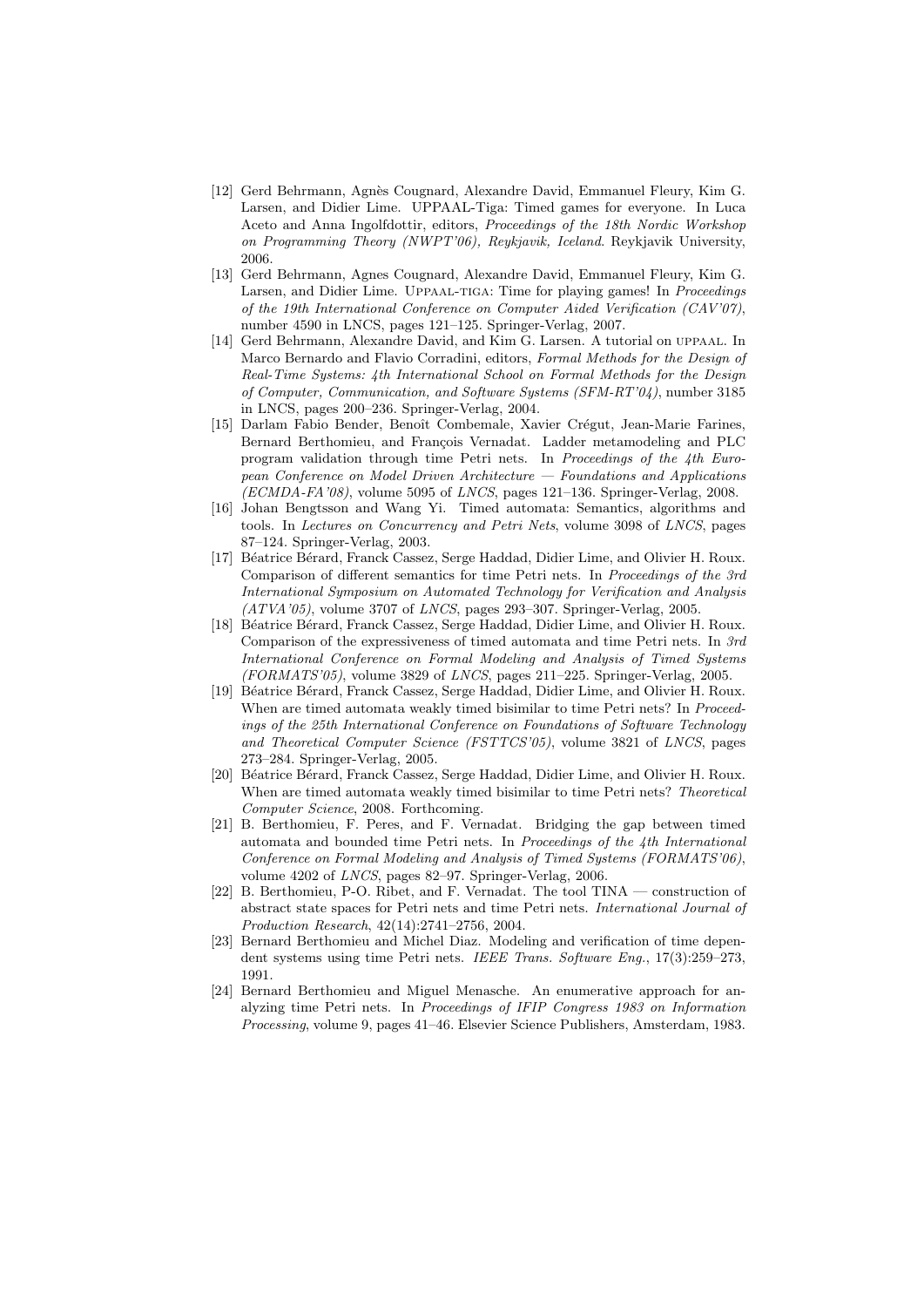- [12] Gerd Behrmann, Agn`es Cougnard, Alexandre David, Emmanuel Fleury, Kim G. Larsen, and Didier Lime. UPPAAL-Tiga: Timed games for everyone. In Luca Aceto and Anna Ingolfdottir, editors, Proceedings of the 18th Nordic Workshop on Programming Theory (NWPT'06), Reykjavik, Iceland. Reykjavik University, 2006.
- [13] Gerd Behrmann, Agnes Cougnard, Alexandre David, Emmanuel Fleury, Kim G. Larsen, and Didier Lime. UPPAAL-TIGA: Time for playing games! In *Proceedings* of the 19th International Conference on Computer Aided Verification (CAV'07), number 4590 in LNCS, pages 121–125. Springer-Verlag, 2007.
- [14] Gerd Behrmann, Alexandre David, and Kim G. Larsen. A tutorial on uppaal. In Marco Bernardo and Flavio Corradini, editors, Formal Methods for the Design of Real-Time Systems: 4th International School on Formal Methods for the Design of Computer, Communication, and Software Systems (SFM-RT'04), number 3185 in LNCS, pages 200–236. Springer-Verlag, 2004.
- [15] Darlam Fabio Bender, Benoît Combemale, Xavier Crégut, Jean-Marie Farines, Bernard Berthomieu, and François Vernadat. Ladder metamodeling and PLC program validation through time Petri nets. In Proceedings of the 4th European Conference on Model Driven Architecture — Foundations and Applications  $(ECMDA-FA'08)$ , volume 5095 of *LNCS*, pages 121–136. Springer-Verlag, 2008.
- [16] Johan Bengtsson and Wang Yi. Timed automata: Semantics, algorithms and tools. In Lectures on Concurrency and Petri Nets, volume 3098 of LNCS, pages 87–124. Springer-Verlag, 2003.
- [17] Béatrice Bérard, Franck Cassez, Serge Haddad, Didier Lime, and Olivier H. Roux. Comparison of different semantics for time Petri nets. In Proceedings of the 3rd International Symposium on Automated Technology for Verification and Analysis  $(ATVA'05)$ , volume 3707 of *LNCS*, pages 293-307. Springer-Verlag, 2005.
- [18] Béatrice Bérard, Franck Cassez, Serge Haddad, Didier Lime, and Olivier H. Roux. Comparison of the expressiveness of timed automata and time Petri nets. In 3rd International Conference on Formal Modeling and Analysis of Timed Systems (FORMATS'05), volume 3829 of LNCS, pages 211–225. Springer-Verlag, 2005.
- [19] Béatrice Bérard, Franck Cassez, Serge Haddad, Didier Lime, and Olivier H. Roux. When are timed automata weakly timed bisimilar to time Petri nets? In Proceedings of the 25th International Conference on Foundations of Software Technology and Theoretical Computer Science (FSTTCS'05), volume 3821 of LNCS, pages 273–284. Springer-Verlag, 2005.
- [20] Béatrice Bérard, Franck Cassez, Serge Haddad, Didier Lime, and Olivier H. Roux. When are timed automata weakly timed bisimilar to time Petri nets? Theoretical Computer Science, 2008. Forthcoming.
- [21] B. Berthomieu, F. Peres, and F. Vernadat. Bridging the gap between timed automata and bounded time Petri nets. In Proceedings of the 4th International Conference on Formal Modeling and Analysis of Timed Systems (FORMATS'06), volume 4202 of LNCS, pages 82–97. Springer-Verlag, 2006.
- [22] B. Berthomieu, P-O. Ribet, and F. Vernadat. The tool TINA construction of abstract state spaces for Petri nets and time Petri nets. International Journal of Production Research, 42(14):2741–2756, 2004.
- [23] Bernard Berthomieu and Michel Diaz. Modeling and verification of time dependent systems using time Petri nets. IEEE Trans. Software Eng., 17(3):259–273, 1991.
- [24] Bernard Berthomieu and Miguel Menasche. An enumerative approach for analyzing time Petri nets. In Proceedings of IFIP Congress 1983 on Information Processing, volume 9, pages 41–46. Elsevier Science Publishers, Amsterdam, 1983.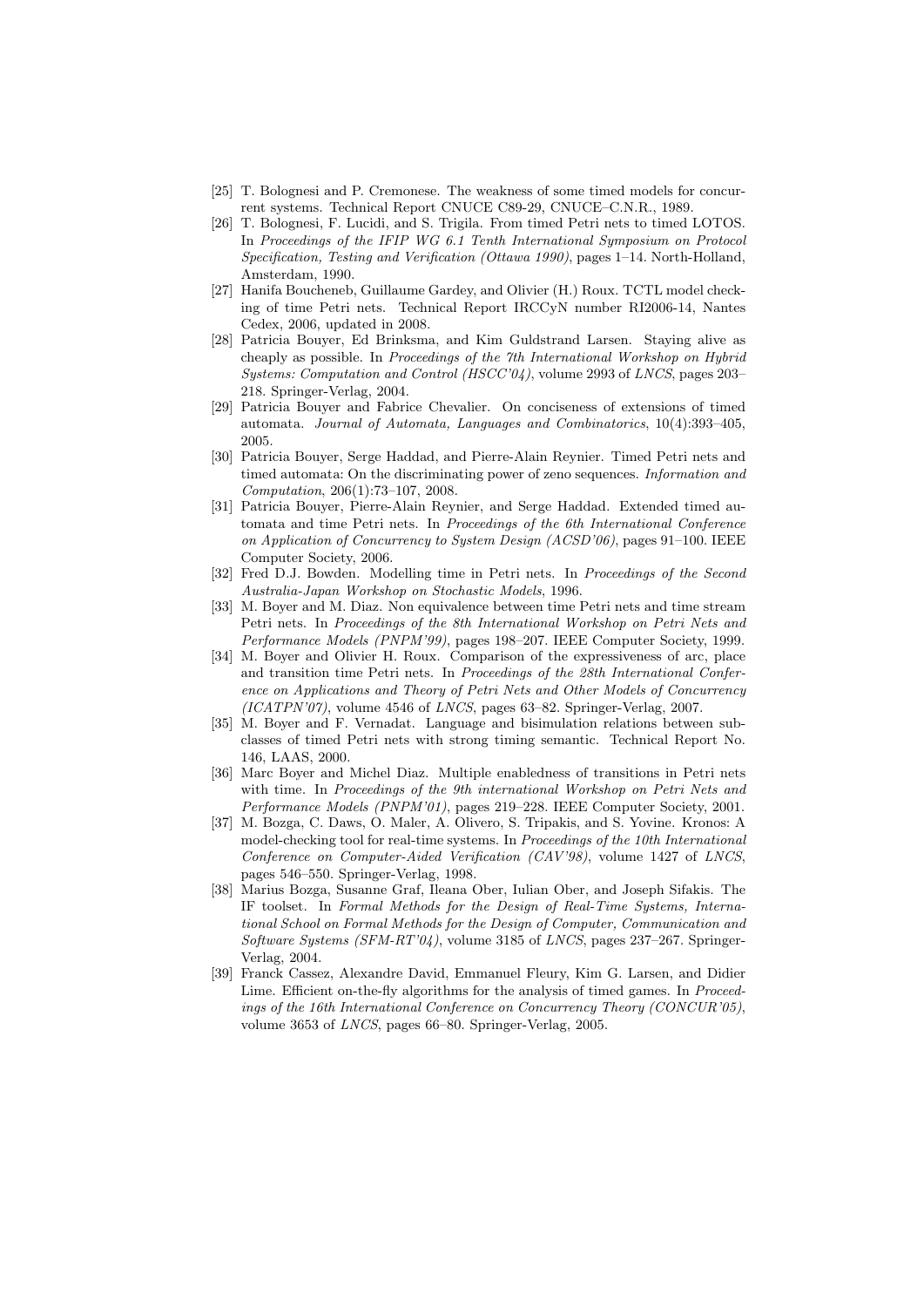- [25] T. Bolognesi and P. Cremonese. The weakness of some timed models for concurrent systems. Technical Report CNUCE C89-29, CNUCE–C.N.R., 1989.
- [26] T. Bolognesi, F. Lucidi, and S. Trigila. From timed Petri nets to timed LOTOS. In Proceedings of the IFIP WG 6.1 Tenth International Symposium on Protocol Specification, Testing and Verification (Ottawa 1990), pages 1–14. North-Holland, Amsterdam, 1990.
- [27] Hanifa Boucheneb, Guillaume Gardey, and Olivier (H.) Roux. TCTL model checking of time Petri nets. Technical Report IRCCyN number RI2006-14, Nantes Cedex, 2006, updated in 2008.
- [28] Patricia Bouyer, Ed Brinksma, and Kim Guldstrand Larsen. Staying alive as cheaply as possible. In Proceedings of the 7th International Workshop on Hybrid Systems: Computation and Control (HSCC'04), volume 2993 of LNCS, pages 203– 218. Springer-Verlag, 2004.
- [29] Patricia Bouyer and Fabrice Chevalier. On conciseness of extensions of timed automata. Journal of Automata, Languages and Combinatorics, 10(4):393–405, 2005.
- [30] Patricia Bouyer, Serge Haddad, and Pierre-Alain Reynier. Timed Petri nets and timed automata: On the discriminating power of zeno sequences. Information and Computation, 206(1):73–107, 2008.
- [31] Patricia Bouyer, Pierre-Alain Reynier, and Serge Haddad. Extended timed automata and time Petri nets. In Proceedings of the 6th International Conference on Application of Concurrency to System Design (ACSD'06), pages 91–100. IEEE Computer Society, 2006.
- [32] Fred D.J. Bowden. Modelling time in Petri nets. In Proceedings of the Second Australia-Japan Workshop on Stochastic Models, 1996.
- [33] M. Boyer and M. Diaz. Non equivalence between time Petri nets and time stream Petri nets. In Proceedings of the 8th International Workshop on Petri Nets and Performance Models (PNPM'99), pages 198–207. IEEE Computer Society, 1999.
- [34] M. Boyer and Olivier H. Roux. Comparison of the expressiveness of arc, place and transition time Petri nets. In Proceedings of the 28th International Conference on Applications and Theory of Petri Nets and Other Models of Concurrency (ICATPN'07), volume 4546 of LNCS, pages 63–82. Springer-Verlag, 2007.
- [35] M. Boyer and F. Vernadat. Language and bisimulation relations between subclasses of timed Petri nets with strong timing semantic. Technical Report No. 146, LAAS, 2000.
- [36] Marc Boyer and Michel Diaz. Multiple enabledness of transitions in Petri nets with time. In Proceedings of the 9th international Workshop on Petri Nets and Performance Models (PNPM'01), pages 219–228. IEEE Computer Society, 2001.
- [37] M. Bozga, C. Daws, O. Maler, A. Olivero, S. Tripakis, and S. Yovine. Kronos: A model-checking tool for real-time systems. In Proceedings of the 10th International Conference on Computer-Aided Verification (CAV'98), volume 1427 of LNCS, pages 546–550. Springer-Verlag, 1998.
- [38] Marius Bozga, Susanne Graf, Ileana Ober, Iulian Ober, and Joseph Sifakis. The IF toolset. In Formal Methods for the Design of Real-Time Systems, International School on Formal Methods for the Design of Computer, Communication and Software Systems (SFM-RT'04), volume 3185 of LNCS, pages 237–267. Springer-Verlag, 2004.
- [39] Franck Cassez, Alexandre David, Emmanuel Fleury, Kim G. Larsen, and Didier Lime. Efficient on-the-fly algorithms for the analysis of timed games. In *Proceed*ings of the 16th International Conference on Concurrency Theory (CONCUR'05), volume 3653 of LNCS, pages 66–80. Springer-Verlag, 2005.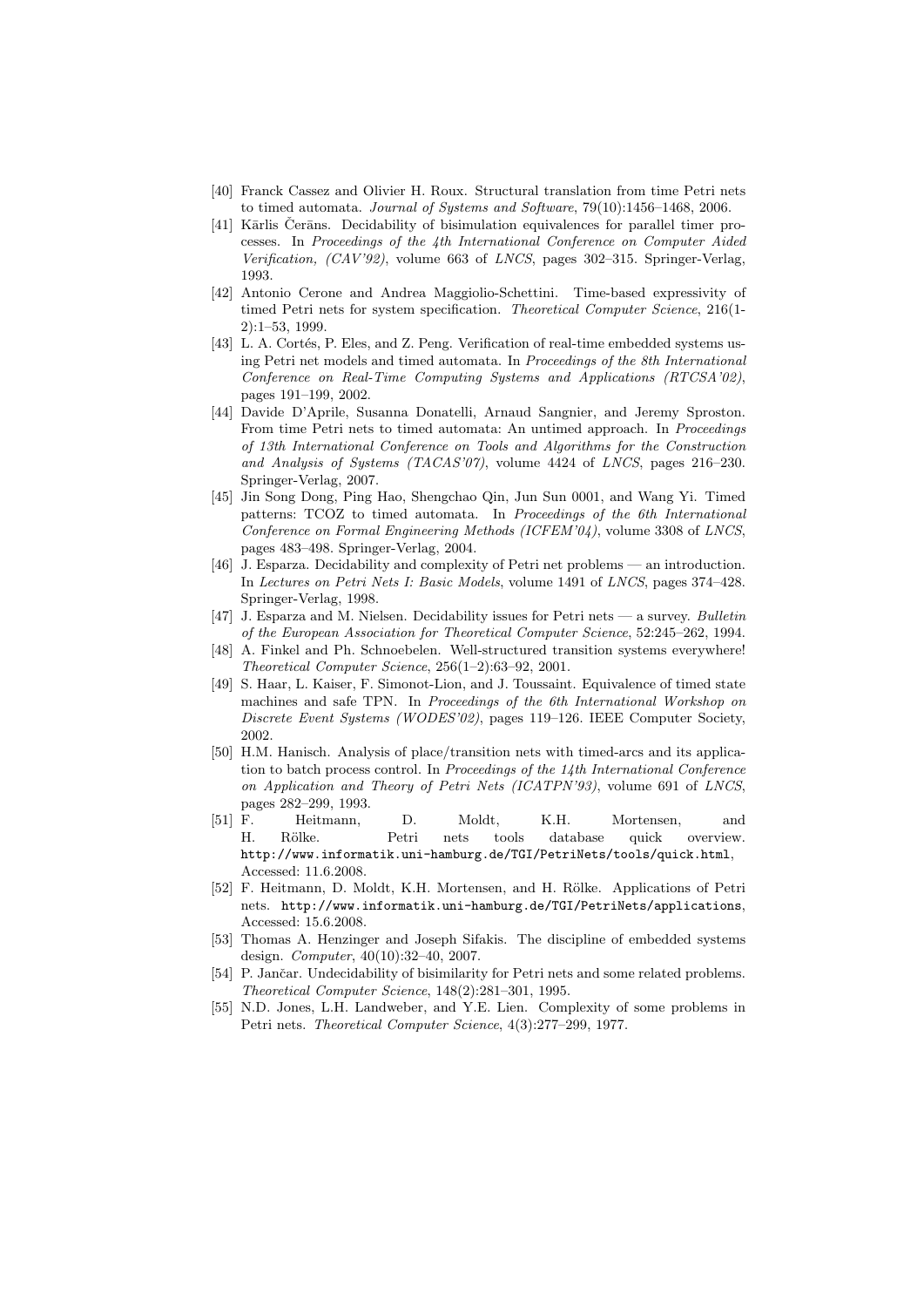- [40] Franck Cassez and Olivier H. Roux. Structural translation from time Petri nets to timed automata. Journal of Systems and Software, 79(10):1456–1468, 2006.
- [41] Kārlis Cerāns. Decidability of bisimulation equivalences for parallel timer processes. In Proceedings of the 4th International Conference on Computer Aided Verification, (CAV'92), volume 663 of LNCS, pages 302–315. Springer-Verlag, 1993.
- [42] Antonio Cerone and Andrea Maggiolio-Schettini. Time-based expressivity of timed Petri nets for system specification. Theoretical Computer Science, 216(1- 2):1–53, 1999.
- [43] L. A. Cortés, P. Eles, and Z. Peng. Verification of real-time embedded systems using Petri net models and timed automata. In Proceedings of the 8th International Conference on Real-Time Computing Systems and Applications (RTCSA'02), pages 191–199, 2002.
- [44] Davide D'Aprile, Susanna Donatelli, Arnaud Sangnier, and Jeremy Sproston. From time Petri nets to timed automata: An untimed approach. In Proceedings of 13th International Conference on Tools and Algorithms for the Construction and Analysis of Systems (TACAS'07), volume 4424 of LNCS, pages 216–230. Springer-Verlag, 2007.
- [45] Jin Song Dong, Ping Hao, Shengchao Qin, Jun Sun 0001, and Wang Yi. Timed patterns: TCOZ to timed automata. In Proceedings of the 6th International Conference on Formal Engineering Methods (ICFEM'04), volume 3308 of LNCS, pages 483–498. Springer-Verlag, 2004.
- [46] J. Esparza. Decidability and complexity of Petri net problems an introduction. In Lectures on Petri Nets I: Basic Models, volume 1491 of LNCS, pages 374–428. Springer-Verlag, 1998.
- [47] J. Esparza and M. Nielsen. Decidability issues for Petri nets a survey. Bulletin of the European Association for Theoretical Computer Science, 52:245–262, 1994.
- [48] A. Finkel and Ph. Schnoebelen. Well-structured transition systems everywhere! Theoretical Computer Science, 256(1–2):63–92, 2001.
- [49] S. Haar, L. Kaiser, F. Simonot-Lion, and J. Toussaint. Equivalence of timed state machines and safe TPN. In Proceedings of the 6th International Workshop on Discrete Event Systems (WODES'02), pages 119–126. IEEE Computer Society, 2002.
- [50] H.M. Hanisch. Analysis of place/transition nets with timed-arcs and its application to batch process control. In Proceedings of the 14th International Conference on Application and Theory of Petri Nets (ICATPN'93), volume 691 of LNCS, pages 282–299, 1993.
- [51] F. Heitmann, D. Moldt, K.H. Mortensen, and H. Rölke. Petri nets tools database quick overview. http://www.informatik.uni-hamburg.de/TGI/PetriNets/tools/quick.html, Accessed: 11.6.2008.
- [52] F. Heitmann, D. Moldt, K.H. Mortensen, and H. Rölke. Applications of Petri nets. http://www.informatik.uni-hamburg.de/TGI/PetriNets/applications, Accessed: 15.6.2008.
- [53] Thomas A. Henzinger and Joseph Sifakis. The discipline of embedded systems design. Computer, 40(10):32–40, 2007.
- [54] P. Jančar. Undecidability of bisimilarity for Petri nets and some related problems. Theoretical Computer Science, 148(2):281–301, 1995.
- [55] N.D. Jones, L.H. Landweber, and Y.E. Lien. Complexity of some problems in Petri nets. Theoretical Computer Science, 4(3):277–299, 1977.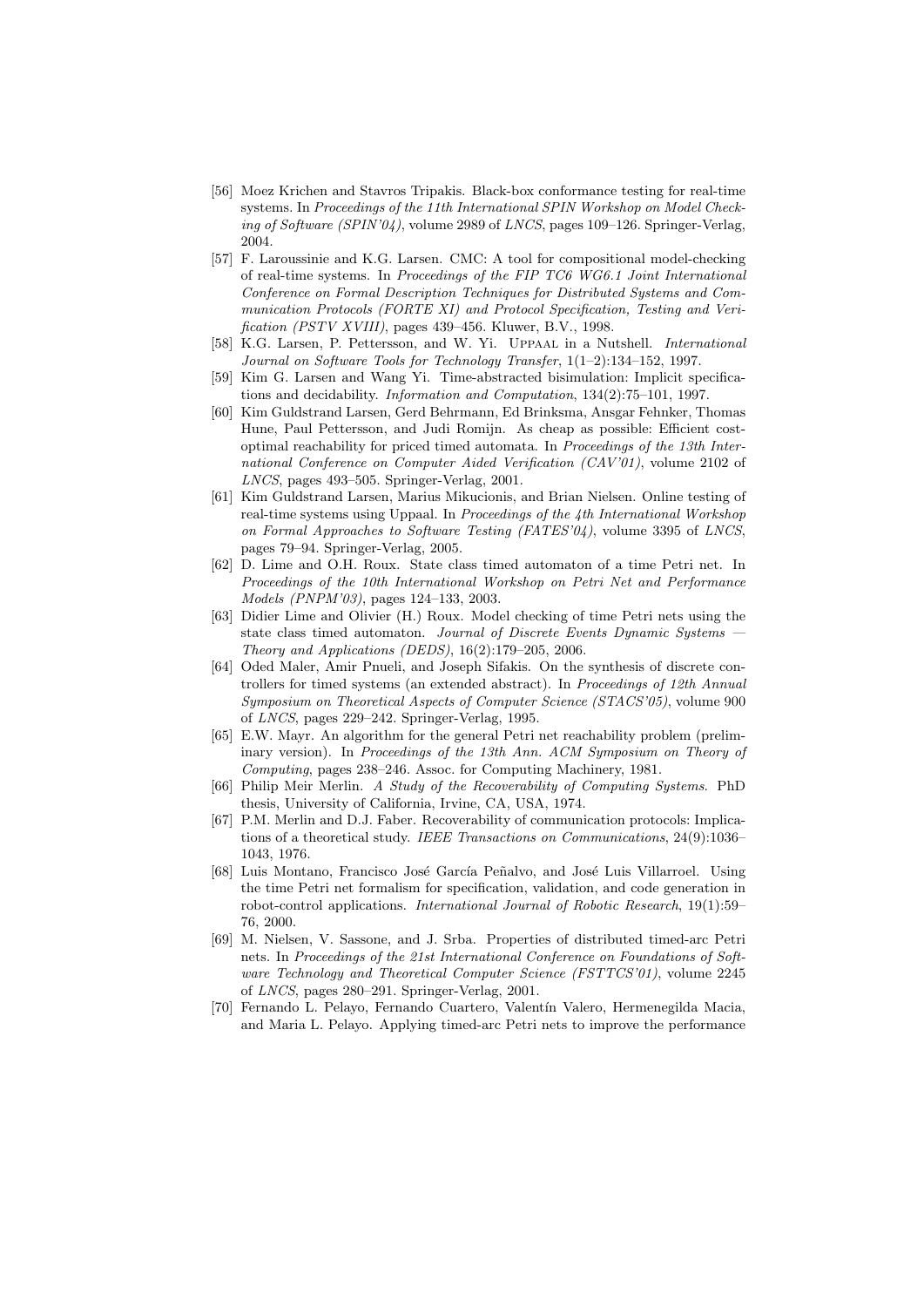- [56] Moez Krichen and Stavros Tripakis. Black-box conformance testing for real-time systems. In Proceedings of the 11th International SPIN Workshop on Model Checking of Software (SPIN'04), volume 2989 of LNCS, pages 109–126. Springer-Verlag, 2004.
- [57] F. Laroussinie and K.G. Larsen. CMC: A tool for compositional model-checking of real-time systems. In Proceedings of the FIP TC6 WG6.1 Joint International Conference on Formal Description Techniques for Distributed Systems and Communication Protocols (FORTE XI) and Protocol Specification, Testing and Verification (PSTV XVIII), pages 439–456. Kluwer, B.V., 1998.
- [58] K.G. Larsen, P. Pettersson, and W. Yi. Uppaal in a Nutshell. International Journal on Software Tools for Technology Transfer, 1(1–2):134–152, 1997.
- [59] Kim G. Larsen and Wang Yi. Time-abstracted bisimulation: Implicit specifications and decidability. Information and Computation, 134(2):75–101, 1997.
- [60] Kim Guldstrand Larsen, Gerd Behrmann, Ed Brinksma, Ansgar Fehnker, Thomas Hune, Paul Pettersson, and Judi Romijn. As cheap as possible: Efficient costoptimal reachability for priced timed automata. In Proceedings of the 13th International Conference on Computer Aided Verification (CAV'01), volume 2102 of LNCS, pages 493–505. Springer-Verlag, 2001.
- [61] Kim Guldstrand Larsen, Marius Mikucionis, and Brian Nielsen. Online testing of real-time systems using Uppaal. In Proceedings of the 4th International Workshop on Formal Approaches to Software Testing (FATES'04), volume 3395 of LNCS, pages 79–94. Springer-Verlag, 2005.
- [62] D. Lime and O.H. Roux. State class timed automaton of a time Petri net. In Proceedings of the 10th International Workshop on Petri Net and Performance Models (PNPM'03), pages 124–133, 2003.
- [63] Didier Lime and Olivier (H.) Roux. Model checking of time Petri nets using the state class timed automaton. Journal of Discrete Events Dynamic Systems Theory and Applications (DEDS), 16(2):179–205, 2006.
- [64] Oded Maler, Amir Pnueli, and Joseph Sifakis. On the synthesis of discrete controllers for timed systems (an extended abstract). In Proceedings of 12th Annual Symposium on Theoretical Aspects of Computer Science (STACS'05), volume 900 of LNCS, pages 229–242. Springer-Verlag, 1995.
- [65] E.W. Mayr. An algorithm for the general Petri net reachability problem (preliminary version). In Proceedings of the 13th Ann. ACM Symposium on Theory of Computing, pages 238–246. Assoc. for Computing Machinery, 1981.
- [66] Philip Meir Merlin. A Study of the Recoverability of Computing Systems. PhD thesis, University of California, Irvine, CA, USA, 1974.
- [67] P.M. Merlin and D.J. Faber. Recoverability of communication protocols: Implications of a theoretical study. IEEE Transactions on Communications, 24(9):1036– 1043, 1976.
- [68] Luis Montano, Francisco José García Peñalvo, and José Luis Villarroel. Using the time Petri net formalism for specification, validation, and code generation in robot-control applications. International Journal of Robotic Research, 19(1):59– 76, 2000.
- [69] M. Nielsen, V. Sassone, and J. Srba. Properties of distributed timed-arc Petri nets. In Proceedings of the 21st International Conference on Foundations of Software Technology and Theoretical Computer Science (FSTTCS'01), volume 2245 of LNCS, pages 280–291. Springer-Verlag, 2001.
- [70] Fernando L. Pelayo, Fernando Cuartero, Valentín Valero, Hermenegilda Macia, and Maria L. Pelayo. Applying timed-arc Petri nets to improve the performance